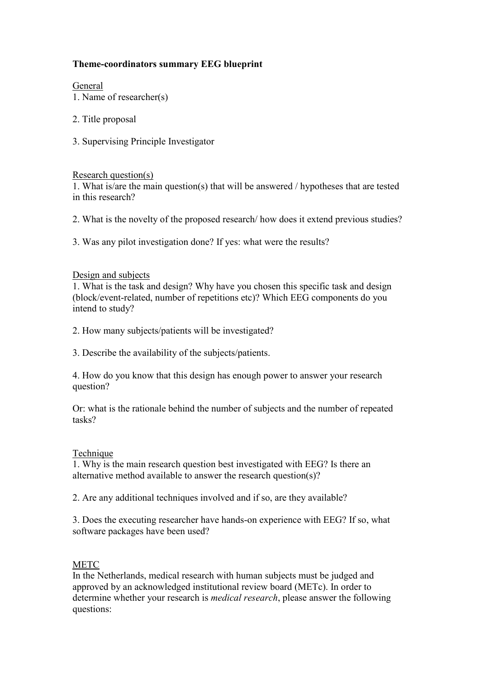# **Theme-coordinators summary EEG blueprint**

General

- 1. Name of researcher(s)
- 2. Title proposal
- 3. Supervising Principle Investigator

### Research question(s)

1. What is/are the main question(s) that will be answered / hypotheses that are tested in this research?

- 2. What is the novelty of the proposed research/ how does it extend previous studies?
- 3. Was any pilot investigation done? If yes: what were the results?

### Design and subjects

1. What is the task and design? Why have you chosen this specific task and design (block/event-related, number of repetitions etc)? Which EEG components do you intend to study?

- 2. How many subjects/patients will be investigated?
- 3. Describe the availability of the subjects/patients.

4. How do you know that this design has enough power to answer your research question?

Or: what is the rationale behind the number of subjects and the number of repeated tasks?

#### Technique

1. Why is the main research question best investigated with EEG? Is there an alternative method available to answer the research question(s)?

2. Are any additional techniques involved and if so, are they available?

3. Does the executing researcher have hands-on experience with EEG? If so, what software packages have been used?

## METC

In the Netherlands, medical research with human subjects must be judged and approved by an acknowledged institutional review board (METc). In order to determine whether your research is *medical research*, please answer the following questions: